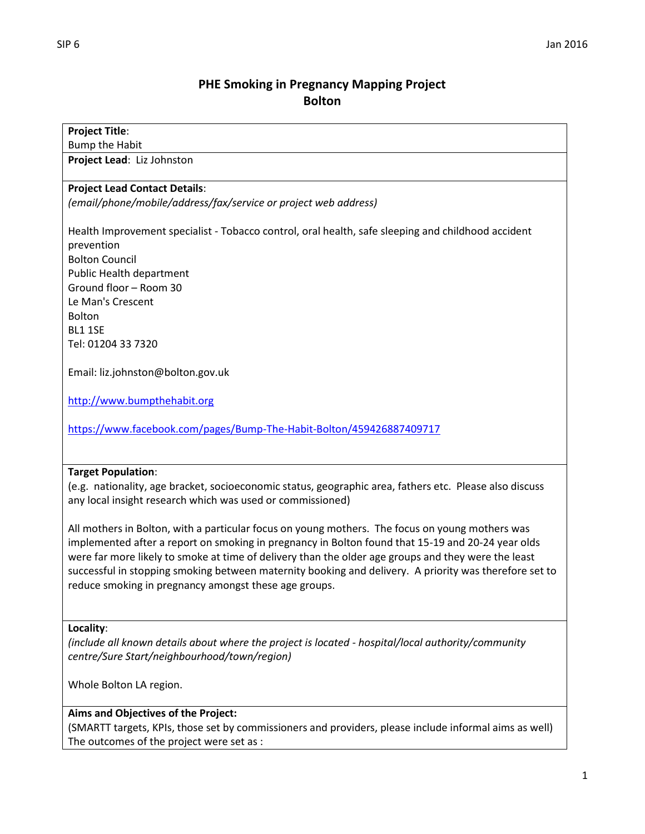# **PHE Smoking in Pregnancy Mapping Project Bolton**

### **Project Title**:

Bump the Habit

**Project Lead**: Liz Johnston

#### **Project Lead Contact Details**:

*(email/phone/mobile/address/fax/service or project web address)*

Health Improvement specialist - Tobacco control, oral health, safe sleeping and childhood accident prevention Bolton Council Public Health department Ground floor – Room 30 Le Man's Crescent Bolton BL1 1SE Tel: 01204 33 7320

Email: liz.johnston@bolton.gov.uk

[http://www.bumpthehabit.org](http://www.bumpthehabit.org/)

<https://www.facebook.com/pages/Bump-The-Habit-Bolton/459426887409717>

#### **Target Population**:

(e.g. nationality, age bracket, socioeconomic status, geographic area, fathers etc. Please also discuss any local insight research which was used or commissioned)

All mothers in Bolton, with a particular focus on young mothers. The focus on young mothers was implemented after a report on smoking in pregnancy in Bolton found that 15-19 and 20-24 year olds were far more likely to smoke at time of delivery than the older age groups and they were the least successful in stopping smoking between maternity booking and delivery. A priority was therefore set to reduce smoking in pregnancy amongst these age groups.

#### **Locality**:

*(include all known details about where the project is located - hospital/local authority/community centre/Sure Start/neighbourhood/town/region)*

Whole Bolton LA region.

#### **Aims and Objectives of the Project:**

(SMARTT targets, KPIs, those set by commissioners and providers, please include informal aims as well) The outcomes of the project were set as :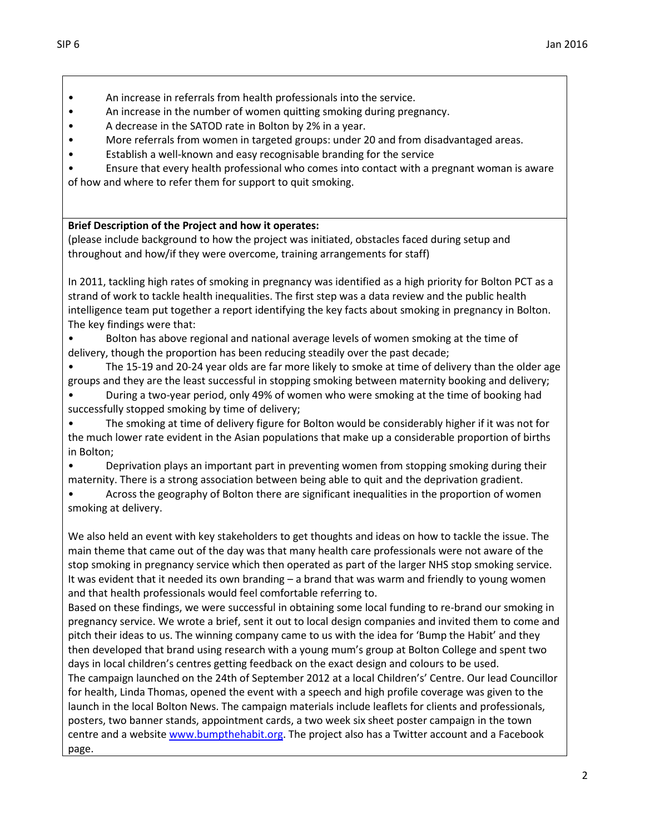- An increase in referrals from health professionals into the service.
- An increase in the number of women quitting smoking during pregnancy.
- A decrease in the SATOD rate in Bolton by 2% in a year.
- More referrals from women in targeted groups: under 20 and from disadvantaged areas.
- Establish a well-known and easy recognisable branding for the service
- Ensure that every health professional who comes into contact with a pregnant woman is aware of how and where to refer them for support to quit smoking.

#### **Brief Description of the Project and how it operates:**

(please include background to how the project was initiated, obstacles faced during setup and throughout and how/if they were overcome, training arrangements for staff)

In 2011, tackling high rates of smoking in pregnancy was identified as a high priority for Bolton PCT as a strand of work to tackle health inequalities. The first step was a data review and the public health intelligence team put together a report identifying the key facts about smoking in pregnancy in Bolton. The key findings were that:

• Bolton has above regional and national average levels of women smoking at the time of delivery, though the proportion has been reducing steadily over the past decade;

• The 15-19 and 20-24 year olds are far more likely to smoke at time of delivery than the older age groups and they are the least successful in stopping smoking between maternity booking and delivery;

• During a two-year period, only 49% of women who were smoking at the time of booking had successfully stopped smoking by time of delivery;

• The smoking at time of delivery figure for Bolton would be considerably higher if it was not for the much lower rate evident in the Asian populations that make up a considerable proportion of births in Bolton;

• Deprivation plays an important part in preventing women from stopping smoking during their maternity. There is a strong association between being able to quit and the deprivation gradient.

• Across the geography of Bolton there are significant inequalities in the proportion of women smoking at delivery.

We also held an event with key stakeholders to get thoughts and ideas on how to tackle the issue. The main theme that came out of the day was that many health care professionals were not aware of the stop smoking in pregnancy service which then operated as part of the larger NHS stop smoking service. It was evident that it needed its own branding – a brand that was warm and friendly to young women and that health professionals would feel comfortable referring to.

Based on these findings, we were successful in obtaining some local funding to re-brand our smoking in pregnancy service. We wrote a brief, sent it out to local design companies and invited them to come and pitch their ideas to us. The winning company came to us with the idea for 'Bump the Habit' and they then developed that brand using research with a young mum's group at Bolton College and spent two days in local children's centres getting feedback on the exact design and colours to be used.

The campaign launched on the 24th of September 2012 at a local Children's' Centre. Our lead Councillor for health, Linda Thomas, opened the event with a speech and high profile coverage was given to the launch in the local Bolton News. The campaign materials include leaflets for clients and professionals, posters, two banner stands, appointment cards, a two week six sheet poster campaign in the town centre and a websit[e www.bumpthehabit.org.](http://www.bumpthehabit.org/) The project also has a Twitter account and a Facebook page.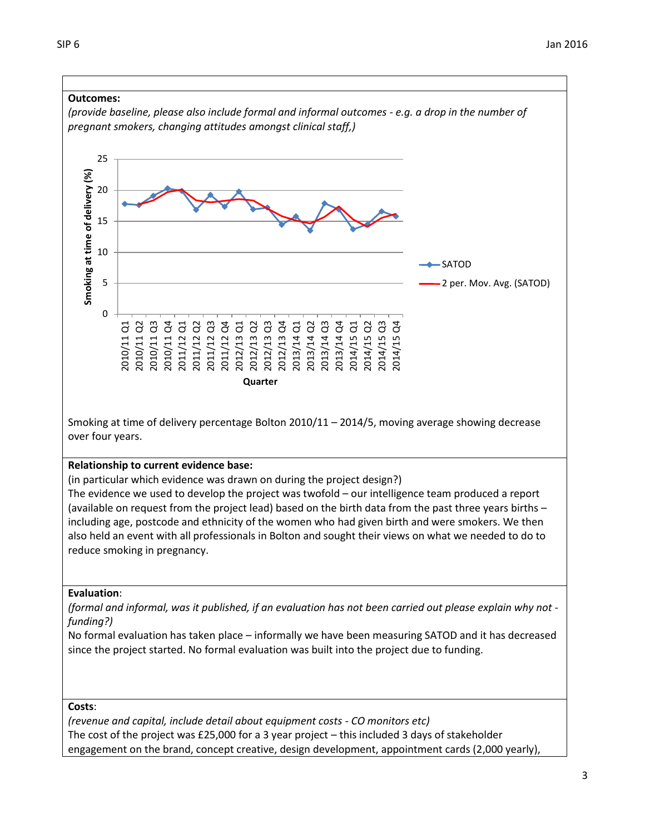